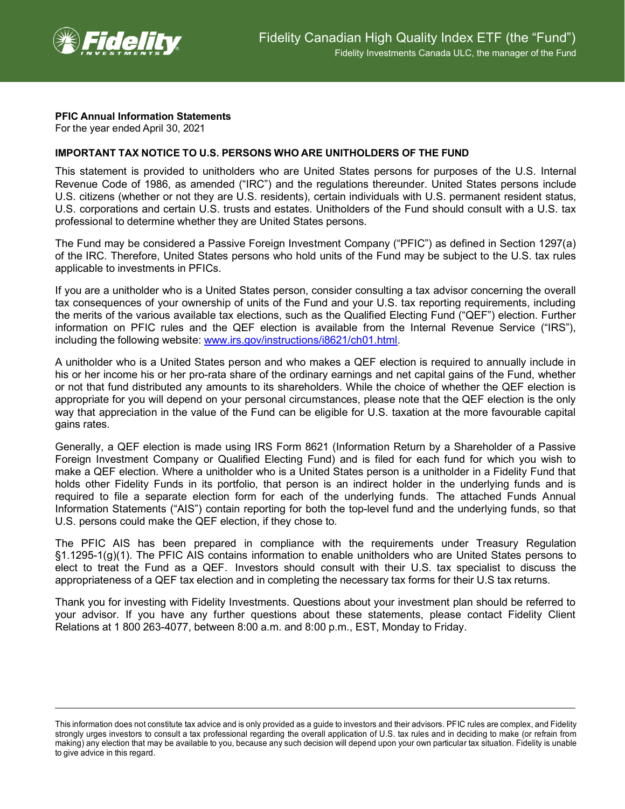

## **PFIC Annual Information Statements**

For the year ended April 30, 2021

## **IMPORTANT TAX NOTICE TO U.S. PERSONS WHO ARE UNITHOLDERS OF THE FUND**

This statement is provided to unitholders who are United States persons for purposes of the U.S. Internal Revenue Code of 1986, as amended ("IRC") and the regulations thereunder. United States persons include U.S. citizens (whether or not they are U.S. residents), certain individuals with U.S. permanent resident status, U.S. corporations and certain U.S. trusts and estates. Unitholders of the Fund should consult with a U.S. tax professional to determine whether they are United States persons.

The Fund may be considered a Passive Foreign Investment Company ("PFIC") as defined in Section 1297(a) of the IRC. Therefore, United States persons who hold units of the Fund may be subject to the U.S. tax rules applicable to investments in PFICs.

If you are a unitholder who is a United States person, consider consulting a tax advisor concerning the overall tax consequences of your ownership of units of the Fund and your U.S. tax reporting requirements, including the merits of the various available tax elections, such as the Qualified Electing Fund ("QEF") election. Further information on PFIC rules and the QEF election is available from the Internal Revenue Service ("IRS"), including the following website: [www.irs.gov/instructions/i8621/ch01.html.](http://www.irs.gov/instructions/i8621/ch01.html)

A unitholder who is a United States person and who makes a QEF election is required to annually include in his or her income his or her pro-rata share of the ordinary earnings and net capital gains of the Fund, whether or not that fund distributed any amounts to its shareholders. While the choice of whether the QEF election is appropriate for you will depend on your personal circumstances, please note that the QEF election is the only way that appreciation in the value of the Fund can be eligible for U.S. taxation at the more favourable capital gains rates.

Generally, a QEF election is made using IRS Form 8621 (Information Return by a Shareholder of a Passive Foreign Investment Company or Qualified Electing Fund) and is filed for each fund for which you wish to make a QEF election. Where a unitholder who is a United States person is a unitholder in a Fidelity Fund that holds other Fidelity Funds in its portfolio, that person is an indirect holder in the underlying funds and is required to file a separate election form for each of the underlying funds. The attached Funds Annual Information Statements ("AIS") contain reporting for both the top-level fund and the underlying funds, so that U.S. persons could make the QEF election, if they chose to.

The PFIC AIS has been prepared in compliance with the requirements under Treasury Regulation §1.1295-1(g)(1). The PFIC AIS contains information to enable unitholders who are United States persons to elect to treat the Fund as a QEF. Investors should consult with their U.S. tax specialist to discuss the appropriateness of a QEF tax election and in completing the necessary tax forms for their U.S tax returns.

Thank you for investing with Fidelity Investments. Questions about your investment plan should be referred to your advisor. If you have any further questions about these statements, please contact Fidelity Client Relations at 1 800 263-4077, between 8:00 a.m. and 8:00 p.m., EST, Monday to Friday.

This information does not constitute tax advice and is only provided as a guide to investors and their advisors. PFIC rules are complex, and Fidelity strongly urges investors to consult a tax professional regarding the overall application of U.S. tax rules and in deciding to make (or refrain from making) any election that may be available to you, because any such decision will depend upon your own particular tax situation. Fidelity is unable to give advice in this regard.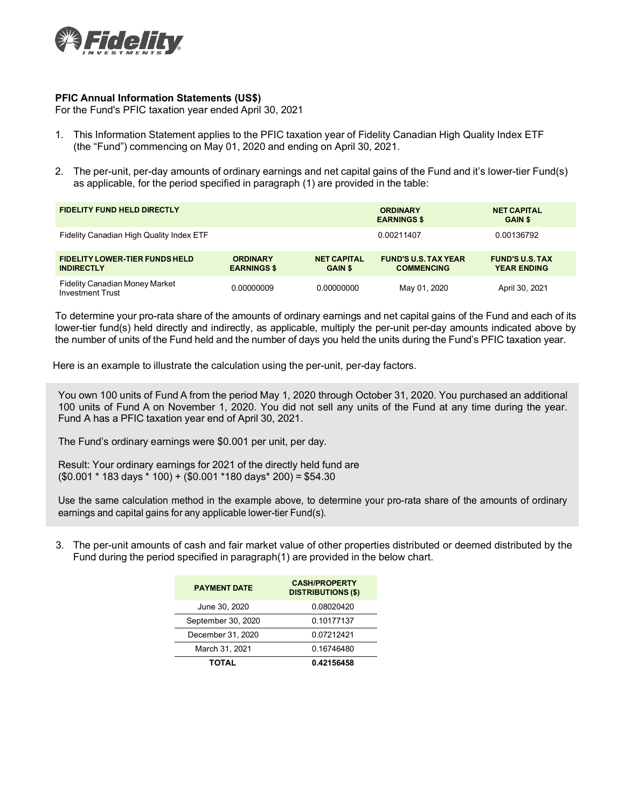

## **PFIC Annual Information Statements (US\$)**

For the Fund's PFIC taxation year ended April 30, 2021

- 1. This Information Statement applies to the PFIC taxation year of Fidelity Canadian High Quality Index ETF (the "Fund") commencing on May 01, 2020 and ending on April 30, 2021.
- 2. The per-unit, per-day amounts of ordinary earnings and net capital gains of the Fund and it's lower-tier Fund(s) as applicable, for the period specified in paragraph (1) are provided in the table:

| <b>FIDELITY FUND HELD DIRECTLY</b>                               |                                       |                                      | <b>ORDINARY</b><br><b>EARNINGS \$</b>            | <b>NET CAPITAL</b><br><b>GAIN \$</b>         |  |
|------------------------------------------------------------------|---------------------------------------|--------------------------------------|--------------------------------------------------|----------------------------------------------|--|
| Fidelity Canadian High Quality Index ETF                         |                                       |                                      | 0.00211407                                       | 0.00136792                                   |  |
| <b>FIDELITY LOWER-TIER FUNDS HELD</b><br><b>INDIRECTLY</b>       | <b>ORDINARY</b><br><b>EARNINGS \$</b> | <b>NET CAPITAL</b><br><b>GAIN \$</b> | <b>FUND'S U.S. TAX YEAR</b><br><b>COMMENCING</b> | <b>FUND'S U.S. TAX</b><br><b>YEAR ENDING</b> |  |
| <b>Fidelity Canadian Money Market</b><br><b>Investment Trust</b> | 0.00000009                            | 0.00000000                           | May 01, 2020                                     | April 30, 2021                               |  |

To determine your pro-rata share of the amounts of ordinary earnings and net capital gains of the Fund and each of its lower-tier fund(s) held directly and indirectly, as applicable, multiply the per-unit per-day amounts indicated above by the number of units of the Fund held and the number of days you held the units during the Fund's PFIC taxation year.

Here is an example to illustrate the calculation using the per-unit, per-day factors.

You own 100 units of Fund A from the period May 1, 2020 through October 31, 2020. You purchased an additional 100 units of Fund A on November 1, 2020. You did not sell any units of the Fund at any time during the year. Fund A has a PFIC taxation year end of April 30, 2021.

The Fund's ordinary earnings were \$0.001 per unit, per day.

Result: Your ordinary earnings for 2021 of the directly held fund are  $($0.001 * 183 \text{ days} * 100) + ($0.001 * 180 \text{ days} * 200) = $54.30$ 

Use the same calculation method in the example above, to determine your pro-rata share of the amounts of ordinary earnings and capital gains for any applicable lower-tier Fund(s).

3. The per-unit amounts of cash and fair market value of other properties distributed or deemed distributed by the Fund during the period specified in paragraph(1) are provided in the below chart.

| <b>PAYMENT DATE</b> | <b>CASH/PROPERTY</b><br><b>DISTRIBUTIONS (\$)</b> |  |  |
|---------------------|---------------------------------------------------|--|--|
| June 30, 2020       | 0.08020420                                        |  |  |
| September 30, 2020  | 0.10177137                                        |  |  |
| December 31, 2020   | 0.07212421                                        |  |  |
| March 31, 2021      | 0.16746480                                        |  |  |
| TOTAL               | 0.42156458                                        |  |  |